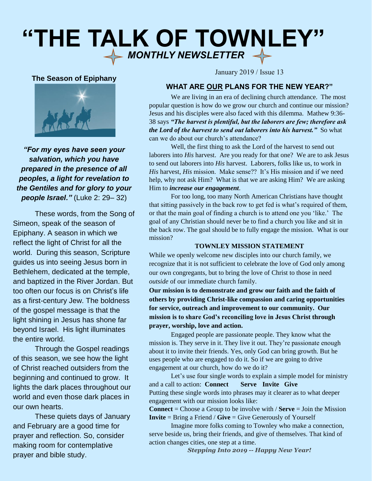# **"THE TALK OF TOWNLEY"**  $\iff$  MONTHLY NEWSLETTER  $\iff$

## **The Season of Epiphany**



*"For my eyes have seen your salvation, which you have prepared in the presence of all peoples, a light for revelation to the Gentiles and for glory to your people Israel."* (Luke 2: 29– 32)

These words, from the Song of Simeon, speak of the season of Epiphany. A season in which we reflect the light of Christ for all the world. During this season, Scripture guides us into seeing Jesus born in Bethlehem, dedicated at the temple, and baptized in the River Jordan. But too often our focus is on Christ's life as a first-century Jew. The boldness of the gospel message is that the light shining in Jesus has shone far beyond Israel. His light illuminates the entire world.

Through the Gospel readings of this season, we see how the light of Christ reached outsiders from the beginning and continued to grow. It lights the dark places throughout our world and even those dark places in our own hearts.

These quiets days of January and February are a good time for prayer and reflection. So, consider making room for contemplative prayer and bible study.

January 2019 / Issue 13

## **WHAT ARE OUR PLANS FOR THE NEW YEAR?"**

We are living in an era of declining church attendance. The most popular question is how do we grow our church and continue our mission? Jesus and his disciples were also faced with this dilemma. Mathew 9:36- 38 says *"The harvest is plentiful, but the laborers are few; therefore ask the Lord of the harvest to send out laborers into his harvest.*" So what can we do about our church's attendance?

Well, the first thing to ask the Lord of the harvest to send out laborers into *His* harvest. Are you ready for that one? We are to ask Jesus to send out laborers into *His* harvest. Laborers, folks like us, to work in *His* harvest, *His* mission. Make sense?? It's His mission and if we need help, why not ask Him? What is that we are asking Him? We are asking Him to *increase our engagement*.

For too long, too many North American Christians have thought that sitting passively in the back row to get fed is what's required of them, or that the main goal of finding a church is to attend one you 'like.' The goal of any Christian should never be to find a church you like and sit in the back row. The goal should be to fully engage the mission. What is our mission?

## **TOWNLEY MISSION STATEMENT**

While we openly welcome new disciples into our church family, we recognize that it is not sufficient to celebrate the love of God only among our own congregants, but to bring the love of Christ to those in need *outside* of our immediate church family.

**Our mission is to demonstrate and grow our faith and the faith of others by providing Christ-like compassion and caring opportunities for service, outreach and improvement to our community. Our mission is to share God's reconciling love in Jesus Christ through prayer, worship, love and action.**

Engaged people are passionate people. They know what the mission is. They serve in it. They live it out. They're passionate enough about it to invite their friends. Yes, only God can bring growth. But he uses people who are engaged to do it. So if we are going to drive engagement at our church, how do we do it?

Let's use four single words to explain a simple model for ministry and a call to action: **Connect Serve Invite Give** Putting these single words into phrases may it clearer as to what deeper engagement with our mission looks like:

**Connect** = Choose a Group to be involve with / **Serve** = Join the Mission **Invite** = Bring a Friend / **Give** = Give Generously of Yourself

Imagine more folks coming to Townley who make a connection, serve beside us, bring their friends, and give of themselves. That kind of action changes cities, one step at a time.

*Stepping Into 2019 -- Happy New Year!*